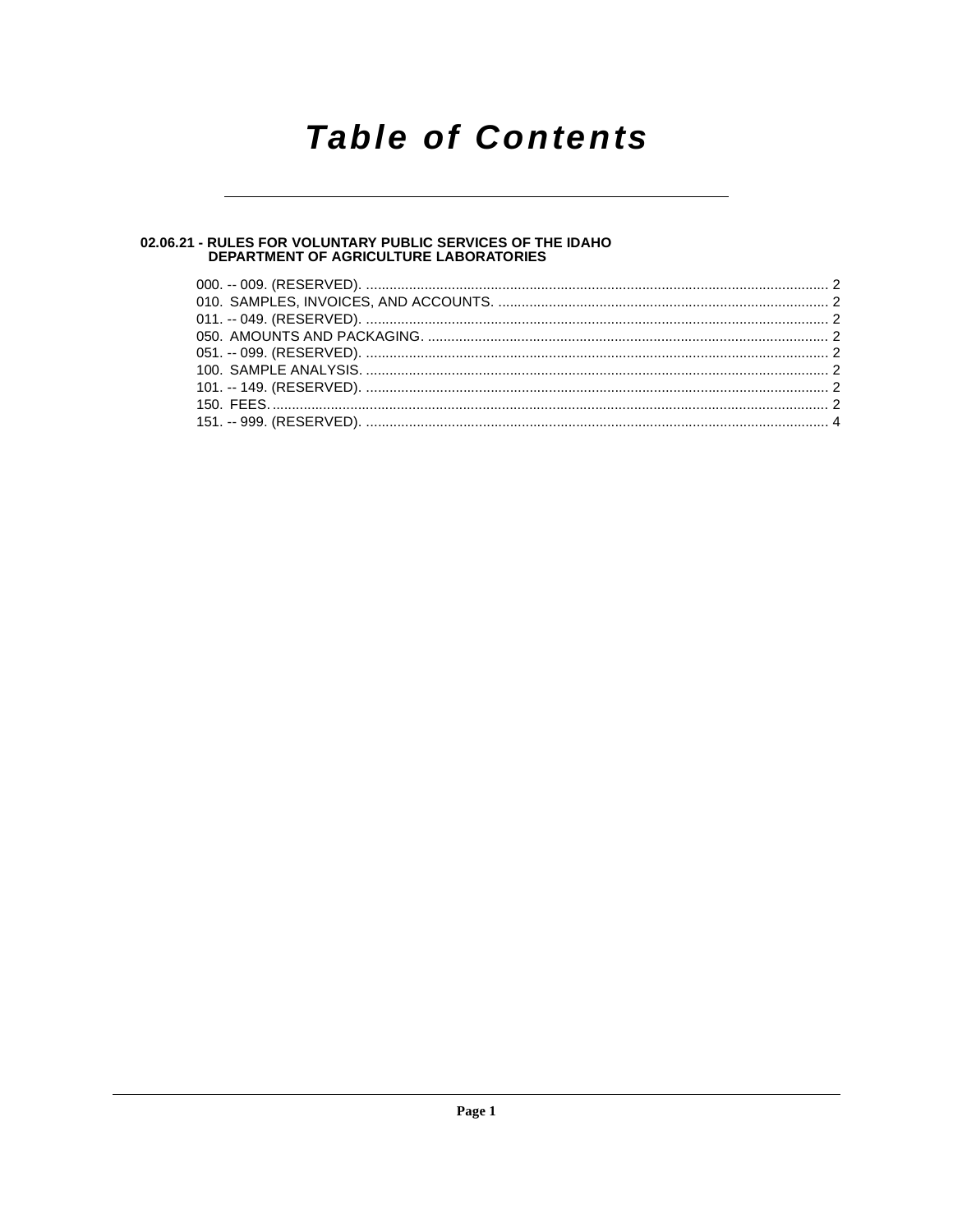## **Table of Contents**

## 02.06.21 - RULES FOR VOLUNTARY PUBLIC SERVICES OF THE IDAHO<br>DEPARTMENT OF AGRICULTURE LABORATORIES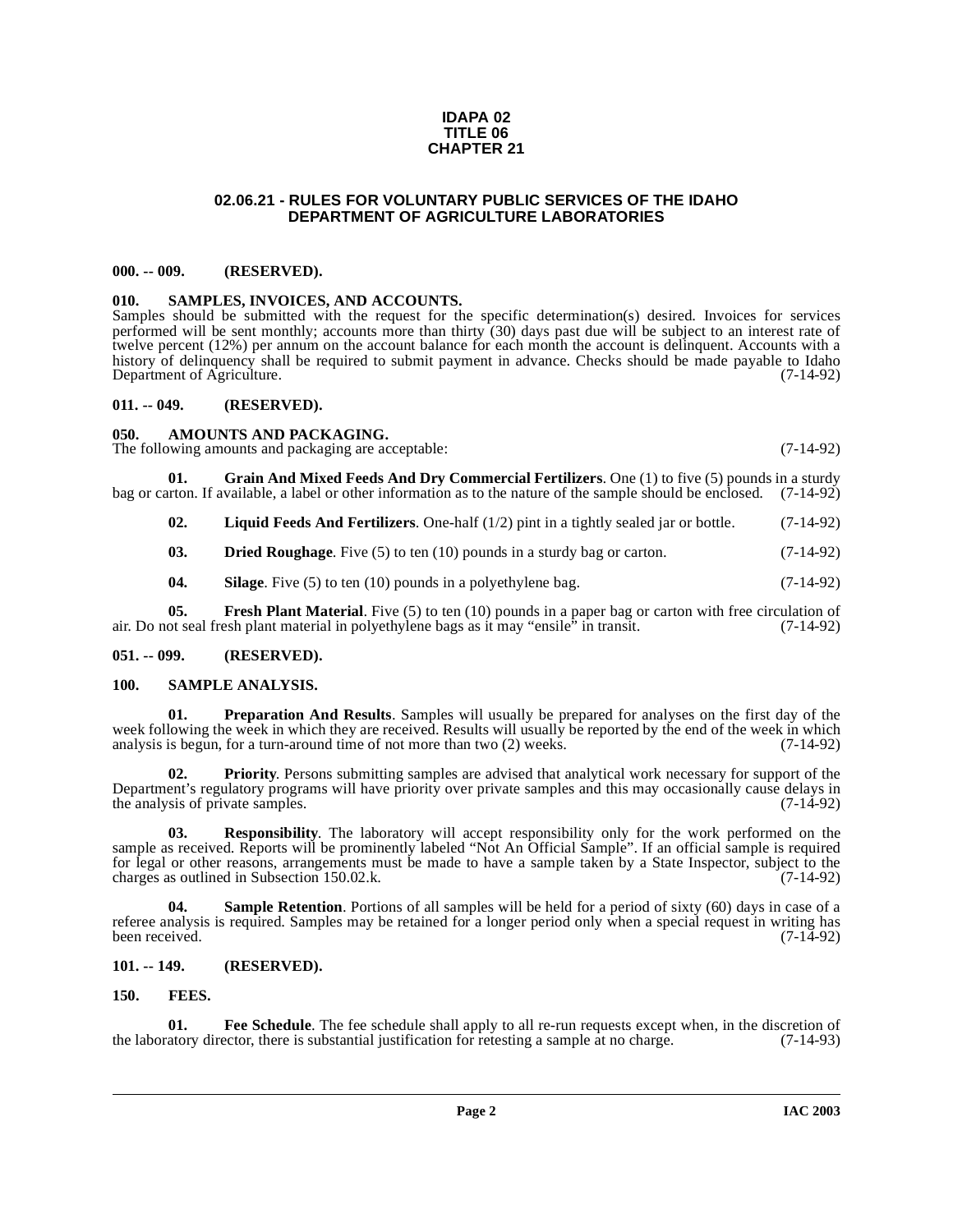### **IDAPA 02 TITLE 06 CHAPTER 21**

### **02.06.21 - RULES FOR VOLUNTARY PUBLIC SERVICES OF THE IDAHO DEPARTMENT OF AGRICULTURE LABORATORIES**

### <span id="page-1-1"></span><span id="page-1-0"></span>**000. -- 009. (RESERVED).**

### <span id="page-1-18"></span><span id="page-1-2"></span>**010. SAMPLES, INVOICES, AND ACCOUNTS.**

Samples should be submitted with the request for the specific determination(s) desired. Invoices for services performed will be sent monthly; accounts more than thirty (30) days past due will be subject to an interest rate of twelve percent (12%) per annum on the account balance for each month the account is delinquent. Accounts with a history of delinquency shall be required to submit payment in advance. Checks should be made payable to Idaho<br>Department of Agriculture. (7-14-92) Department of Agriculture.

### <span id="page-1-3"></span>**011. -- 049. (RESERVED).**

### <span id="page-1-9"></span><span id="page-1-4"></span>**050. AMOUNTS AND PACKAGING.**

The following amounts and packaging are acceptable: (7-14-92)

**01. Grain And Mixed Feeds And Dry Commercial Fertilizers**. One (1) to five (5) pounds in a sturdy bag or carton. If available, a label or other information as to the nature of the sample should be enclosed. (7-14-92)

<span id="page-1-14"></span><span id="page-1-13"></span>**02. Liquid Feeds And Fertilizers**. One-half (1/2) pint in a tightly sealed jar or bottle. (7-14-92)

<span id="page-1-10"></span>**03. Dried Roughage**. Five (5) to ten (10) pounds in a sturdy bag or carton. (7-14-92)

<span id="page-1-19"></span><span id="page-1-12"></span>**04.** Silage. Five (5) to ten (10) pounds in a polyethylene bag.  $(7-14-92)$ 

**05.** Fresh Plant Material. Five (5) to ten (10) pounds in a paper bag or carton with free circulation of air. Do not seal fresh plant material in polyethylene bags as it may "ensile" in transit. (7-14-92)

### <span id="page-1-5"></span>**051. -- 099. (RESERVED).**

### <span id="page-1-16"></span><span id="page-1-6"></span>**100. SAMPLE ANALYSIS.**

<span id="page-1-15"></span>**01. Preparation And Results**. Samples will usually be prepared for analyses on the first day of the week following the week in which they are received. Results will usually be reported by the end of the week in which analysis is begun, for a turn-around time of not more than two (2) weeks. (7-14-92)

**02. Priority**. Persons submitting samples are advised that analytical work necessary for support of the Department's regulatory programs will have priority over private samples and this may occasionally cause delays in the analysis of private samples. the analysis of private samples.

**03. Responsibility**. The laboratory will accept responsibility only for the work performed on the sample as received. Reports will be prominently labeled "Not An Official Sample". If an official sample is required for legal or other reasons, arrangements must be made to have a sample taken by a State Inspector, subject to the charges as outlined in Subsection 150.02.k. (7-14-92)

<span id="page-1-17"></span>**04.** Sample Retention. Portions of all samples will be held for a period of sixty (60) days in case of a referee analysis is required. Samples may be retained for a longer period only when a special request in writing has been received. (7-14-92) been received. (7-14-92)

### <span id="page-1-7"></span>**101. -- 149. (RESERVED).**

### <span id="page-1-11"></span><span id="page-1-8"></span>**150. FEES.**

**01.** Fee Schedule. The fee schedule shall apply to all re-run requests except when, in the discretion of atory director, there is substantial justification for retesting a sample at no charge. (7-14-93) the laboratory director, there is substantial justification for retesting a sample at no charge.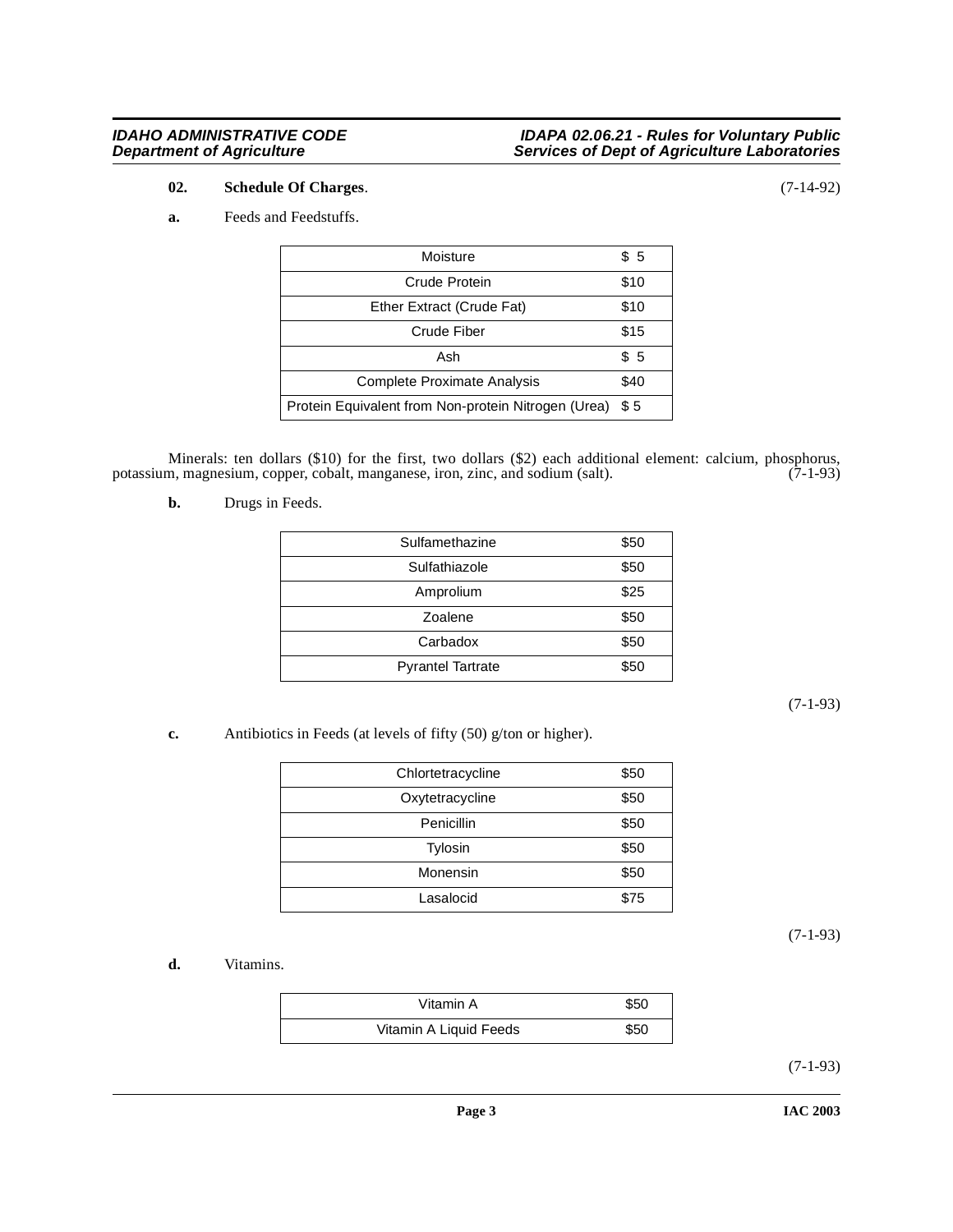### **IDAHO ADMINISTRATIVE CODE IDAPA 02.06.21 - Rules for Voluntary Public Department of Agriculture Services of Dept of Agriculture Laboratories**

### <span id="page-2-3"></span>**02. Schedule Of Charges**. (7-14-92)

### <span id="page-2-2"></span>**a.** Feeds and Feedstuffs.

| Moisture                                            | \$5  |
|-----------------------------------------------------|------|
| Crude Protein                                       | \$10 |
| Ether Extract (Crude Fat)                           | \$10 |
| Crude Fiber                                         | \$15 |
| Ash                                                 | \$5  |
| <b>Complete Proximate Analysis</b>                  | \$40 |
| Protein Equivalent from Non-protein Nitrogen (Urea) | \$5  |

Minerals: ten dollars (\$10) for the first, two dollars (\$2) each additional element: calcium, phosphorus, m, magnesium, copper, cobalt, manganese, iron, zinc, and sodium (salt). (7-1-93) potassium, magnesium, copper, cobalt, manganese, iron, zinc, and sodium (salt).

<span id="page-2-1"></span>**b.** Drugs in Feeds.

| Sulfamethazine           | \$50 |
|--------------------------|------|
| Sulfathiazole            | \$50 |
| Amprolium                | \$25 |
| Zoalene                  | \$50 |
| Carbadox                 | \$50 |
| <b>Pyrantel Tartrate</b> | \$50 |

(7-1-93)

<span id="page-2-0"></span>**c.** Antibiotics in Feeds (at levels of fifty (50) g/ton or higher).

| Chlortetracycline | \$50 |
|-------------------|------|
| Oxytetracycline   | \$50 |
| Penicillin        | \$50 |
| <b>Tylosin</b>    | \$50 |
| Monensin          | \$50 |
| Lasalocid         | \$75 |

(7-1-93)

<span id="page-2-4"></span>**d.** Vitamins.

| Vitamin A              | \$50 |
|------------------------|------|
| Vitamin A Liquid Feeds | \$50 |

(7-1-93)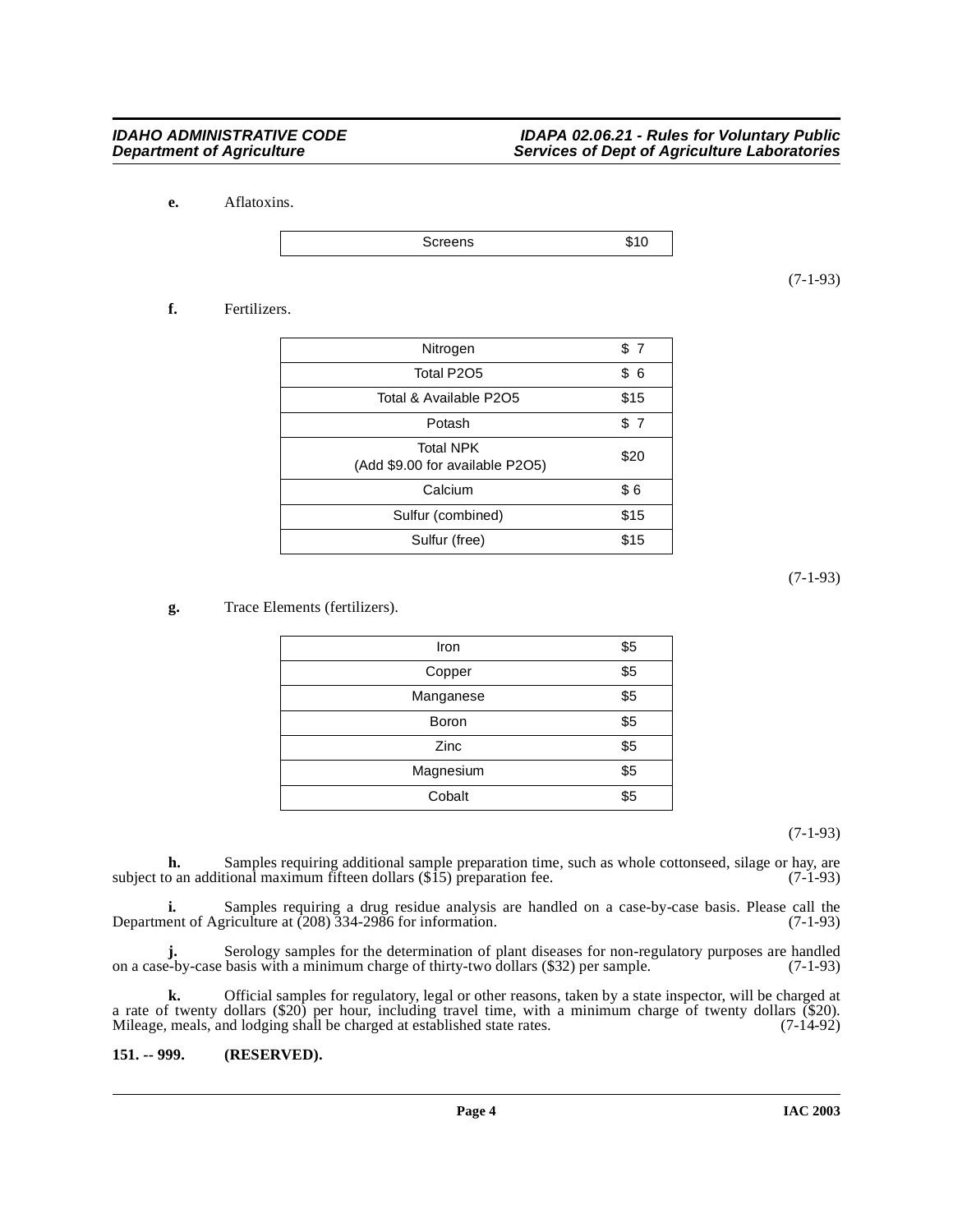<span id="page-3-1"></span>**e.** Aflatoxins.

Screens \$10

(7-1-93)

### <span id="page-3-2"></span>**f.** Fertilizers.

| \$7  |
|------|
| \$6  |
| \$15 |
| \$7  |
| \$20 |
| \$6  |
| \$15 |
| \$15 |
|      |

(7-1-93)

### <span id="page-3-3"></span>**g.** Trace Elements (fertilizers).

| Iron      | \$5 |
|-----------|-----|
| Copper    | \$5 |
| Manganese | \$5 |
| Boron     | \$5 |
| Zinc      | \$5 |
| Magnesium | \$5 |
| Cobalt    | \$5 |

(7-1-93)

**h.** Samples requiring additional sample preparation time, such as whole cottonseed, silage or hay, are subject to an additional maximum fifteen dollars  $(\$15)$  preparation fee. (7-1-93)

**i.** Samples requiring a drug residue analysis are handled on a case-by-case basis. Please call the Department of Agriculture at (208) 334-2986 for information. (7-1-93)

**j.** Serology samples for the determination of plant diseases for non-regulatory purposes are handled e-by-case basis with a minimum charge of thirty-two dollars (\$32) per sample. (7-1-93) on a case-by-case basis with a minimum charge of thirty-two dollars (\$32) per sample.

**k.** Official samples for regulatory, legal or other reasons, taken by a state inspector, will be charged at a rate of twenty dollars (\$20) per hour, including travel time, with a minimum charge of twenty dollars (\$20). Mileage, meals, and lodging shall be charged at established state rates. (7-14-92)

### <span id="page-3-0"></span>**151. -- 999. (RESERVED).**